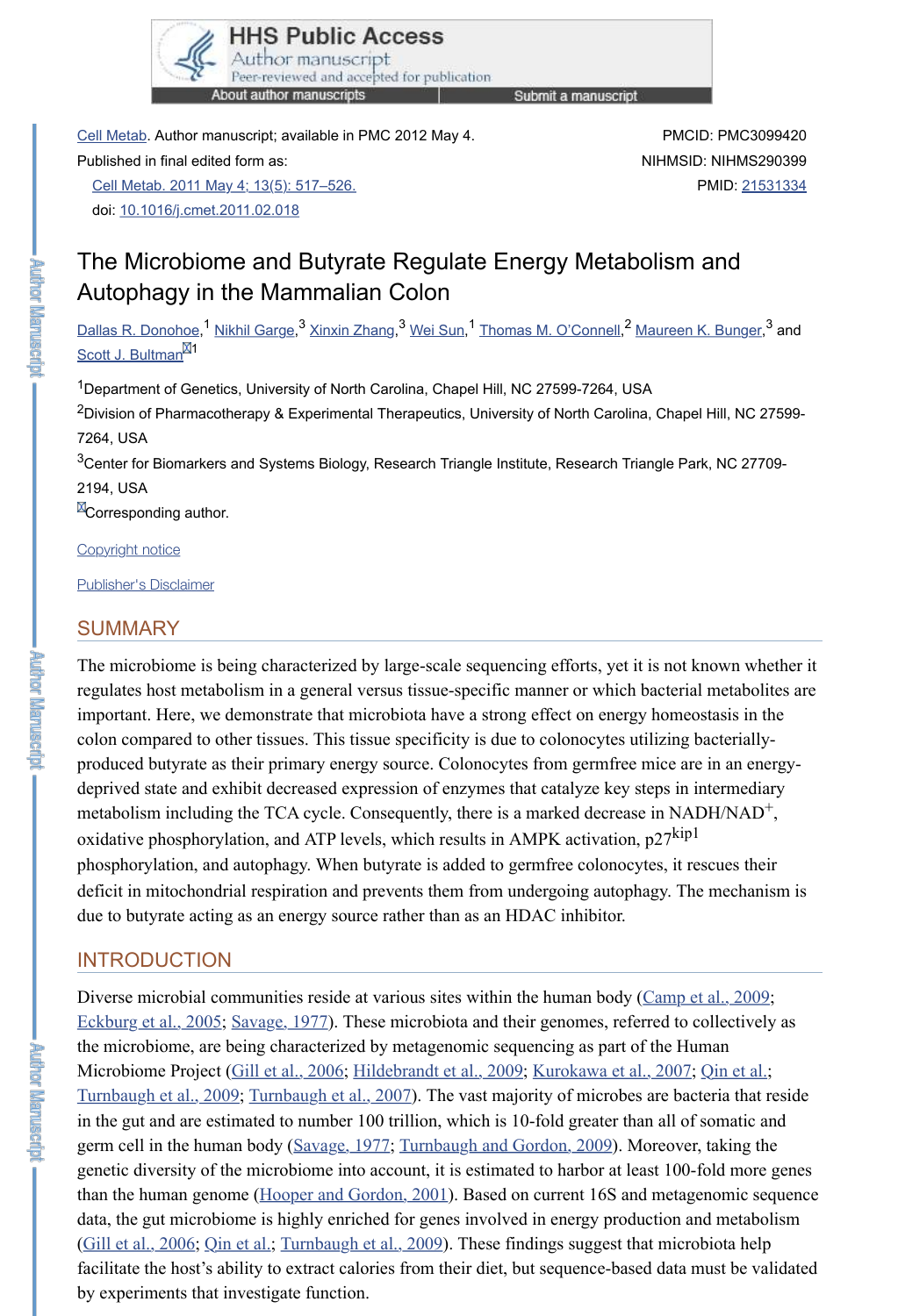

Submit a manuscript

Cell Metab. Author manuscript; available in PMC 2012 May 4.

Published in final edited form as:

Cell Metab. 2011 May 4; 13(5): 517–526. doi: 10.1016/j.cmet.2011.02.018

PMCID: PMC3099420 NIHMSID: NIHMS290399 PMID: 21531334

# The Microbiome and Butyrate Regulate Energy Metabolism and Autophagy in the Mammalian Colon

<u>Dallas R. Donohoe,<sup>1</sup> Nikhil Garge</u>,<sup>3</sup> <u>Xinxin Zhang,<sup>3</sup> Wei Sun,<sup>1</sup> Thomas M. O'Connell,<sup>2</sup> Maureen K. Bunger,<sup>3</sup> and</u> Scott J. Bultman<sup>M1</sup>

<sup>1</sup>Department of Genetics, University of North Carolina, Chapel Hill, NC 27599-7264, USA

<sup>2</sup>Division of Pharmacotherapy & Experimental Therapeutics, University of North Carolina, Chapel Hill, NC 27599-7264, USA

 $^3$ Center for Biomarkers and Systems Biology, Research Triangle Institute, Research Triangle Park, NC 27709-2194, USA

**E**Corresponding author.

Copyright notice

Publisher's Disclaimer

# **SUMMARY**

The microbiome is being characterized by large-scale sequencing efforts, yet it is not known whether it regulates host metabolism in a general versus tissue-specific manner or which bacterial metabolites are important. Here, we demonstrate that microbiota have a strong effect on energy homeostasis in the colon compared to other tissues. This tissue specificity is due to colonocytes utilizing bacteriallyproduced butyrate as their primary energy source. Colonocytes from germfree mice are in an energydeprived state and exhibit decreased expression of enzymes that catalyze key steps in intermediary metabolism including the TCA cycle. Consequently, there is a marked decrease in NADH/NAD<sup>+</sup>, oxidative phosphorylation, and ATP levels, which results in AMPK activation, p27<sup>kip1</sup> phosphorylation, and autophagy. When butyrate is added to germfree colonocytes, it rescues their deficit in mitochondrial respiration and prevents them from undergoing autophagy. The mechanism is due to butyrate acting as an energy source rather than as an HDAC inhibitor.

Diverse microbial communities reside at various sites within the human body (Camp et al., 2009; Eckburg et al., 2005; Savage, 1977). These microbiota and their genomes, referred to collectively as the microbiome, are being characterized by metagenomic sequencing as part of the Human **Puthor Martuscript** Microbiome Project (Gill et al., 2006; Hildebrandt et al., 2009; Kurokawa et al., 2007; Qin et al.; Turnbaugh et al., 2009; Turnbaugh et al., 2007). The vast majority of microbes are bacteria that reside in the gut and are estimated to number 100 trillion, which is 10-fold greater than all of somatic and germ cell in the human body (Savage, 1977; Turnbaugh and Gordon, 2009). Moreover, taking the genetic diversity of the microbiome into account, it is estimated to harbor at least 100-fold more genes than the human genome (Hooper and Gordon, 2001). Based on current 16S and metagenomic sequence data, the gut microbiome is highly enriched for genes involved in energy production and metabolism (Gill et al., 2006; Qin et al.; Turnbaugh et al., 2009). These findings suggest that microbiota help facilitate the host's ability to extract calories from their diet, but sequence-based data must be validated by experiments that investigate function.

## INTRODUCTION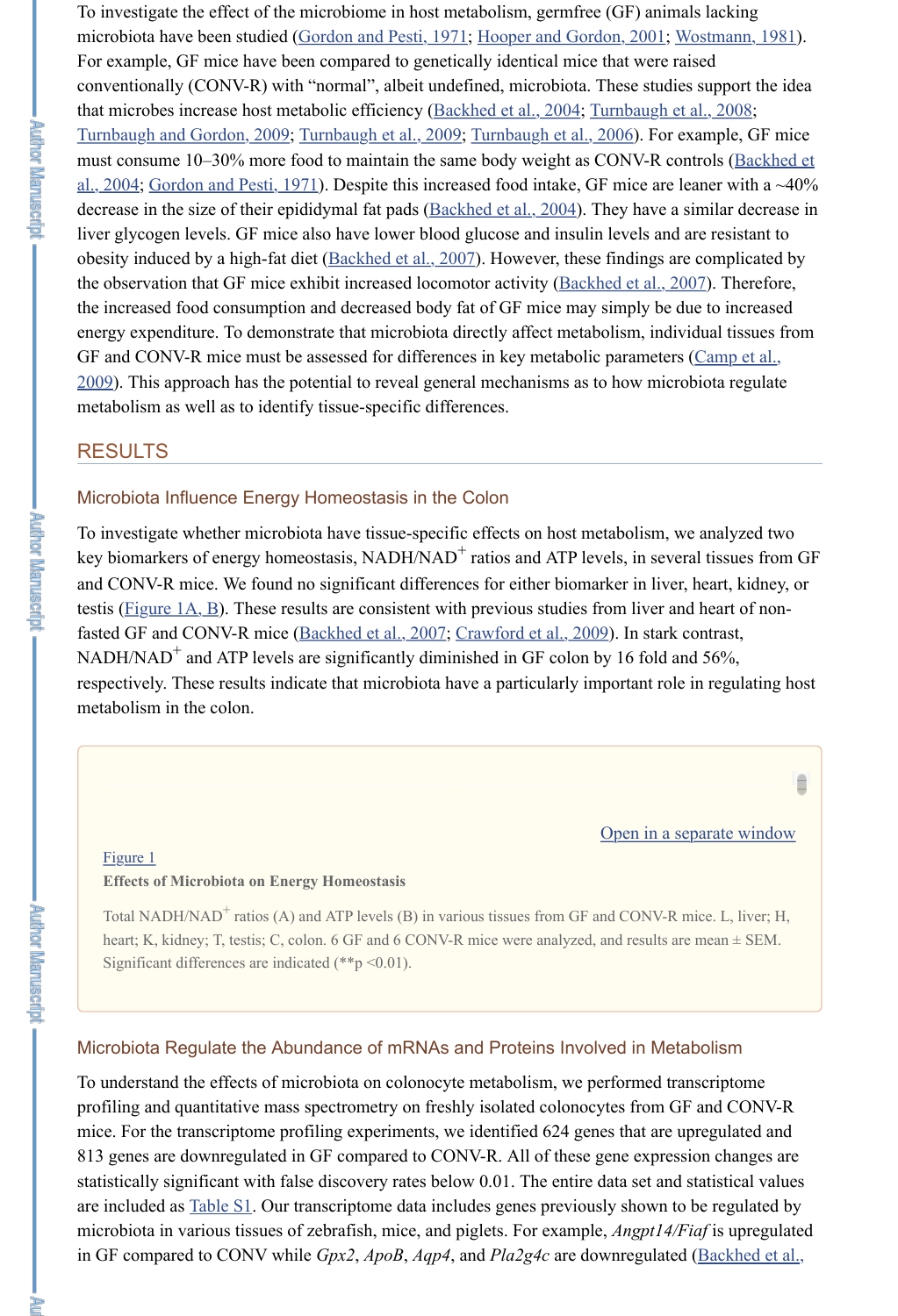To investigate the effect of the microbiome in host metabolism, germfree (GF) animals lacking microbiota have been studied (Gordon and Pesti, 1971; Hooper and Gordon, 2001; Wostmann, 1981). For example, GF mice have been compared to genetically identical mice that were raised conventionally (CONV-R) with "normal", albeit undefined, microbiota. These studies support the idea that microbes increase host metabolic efficiency (Backhed et al., 2004; Turnbaugh et al., 2008; Turnbaugh and Gordon, 2009; Turnbaugh et al., 2009; Turnbaugh et al., 2006). For example, GF mice must consume 10–30% more food to maintain the same body weight as CONV-R controls (Backhed et al., 2004; Gordon and Pesti, 1971). Despite this increased food intake, GF mice are leaner with a ~40% decrease in the size of their epididymal fat pads (Backhed et al., 2004). They have a similar decrease in liver glycogen levels. GF mice also have lower blood glucose and insulin levels and are resistant to obesity induced by a high-fat diet (Backhed et al., 2007). However, these findings are complicated by the observation that GF mice exhibit increased locomotor activity (Backhed et al., 2007). Therefore, the increased food consumption and decreased body fat of GF mice may simply be due to increased energy expenditure. To demonstrate that microbiota directly affect metabolism, individual tissues from GF and CONV-R mice must be assessed for differences in key metabolic parameters (Camp et al., 2009). This approach has the potential to reveal general mechanisms as to how microbiota regulate metabolism as well as to identify tissue-specific differences.

## RESULTS

## Microbiota Influence Energy Homeostasis in the Colon

To investigate whether microbiota have tissue-specific effects on host metabolism, we analyzed two key biomarkers of energy homeostasis, NADH/NAD<sup>+</sup> ratios and ATP levels, in several tissues from GF and CONV-R mice. We found no significant differences for either biomarker in liver, heart, kidney, or testis ( $Figure 1A, B$ ). These results are consistent with previous studies from liver and heart of nonfasted GF and CONV-R mice (Backhed et al., 2007; Crawford et al., 2009). In stark contrast, NADH/NAD<sup>+</sup> and ATP levels are significantly diminished in GF colon by 16 fold and 56%, respectively. These results indicate that microbiota have a particularly important role in regulating host metabolism in the colon.

Open in a separate window

#### Figure 1

#### **Effects of Microbiota on Energy Homeostasis**

Total NADH/NAD<sup>+</sup> ratios (A) and ATP levels (B) in various tissues from GF and CONV-R mice. L, liver; H, heart; K, kidney; T, testis; C, colon. 6 GF and 6 CONV-R mice were analyzed, and results are mean  $\pm$  SEM. Significant differences are indicated  $(*p \le 0.01)$ .

**Author IMarnuscalpt** 

#### Microbiota Regulate the Abundance of mRNAs and Proteins Involved in Metabolism

To understand the effects of microbiota on colonocyte metabolism, we performed transcriptome profiling and quantitative mass spectrometry on freshly isolated colonocytes from GF and CONV-R mice. For the transcriptome profiling experiments, we identified 624 genes that are upregulated and 813 genes are downregulated in GF compared to CONV-R. All of these gene expression changes are statistically significant with false discovery rates below 0.01. The entire data set and statistical values are included as Table S1. Our transcriptome data includes genes previously shown to be regulated by microbiota in various tissues of zebrafish, mice, and piglets. For example, *Angpt14/Fiaf* is upregulated in GF compared to CONV while *Gpx2*, *ApoB*, *Aqp4*, and *Pla2g4c* are downregulated (Backhed et al.,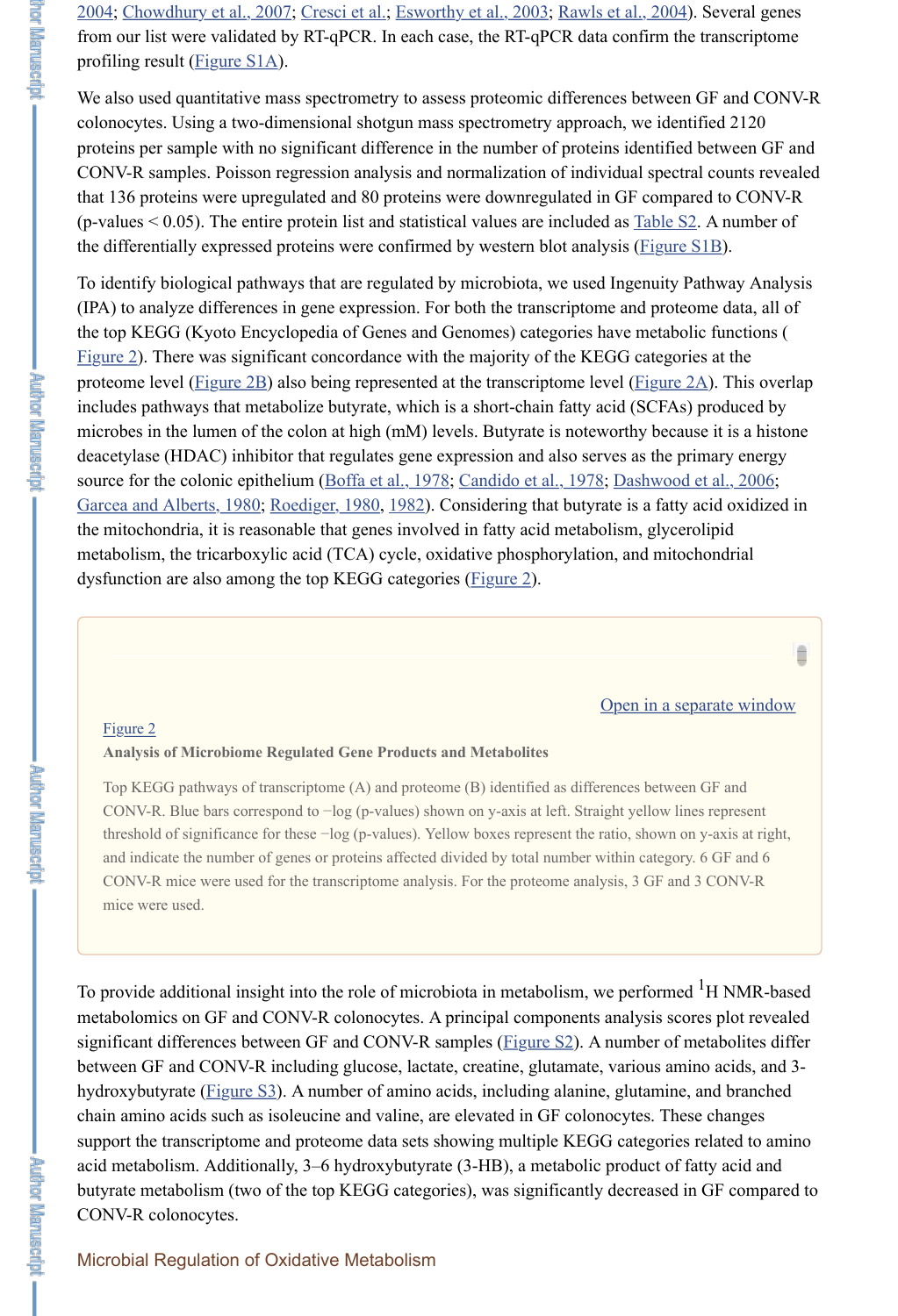2004; Chowdhury et al., 2007; Cresci et al.; Esworthy et al., 2003; Rawls et al., 2004). Several genes from our list were validated by RT-qPCR. In each case, the RT-qPCR data confirm the transcriptome profiling result (Figure S1A).

To identify biological pathways that are regulated by microbiota, we used Ingenuity Pathway Analysis (IPA) to analyze differences in gene expression. For both the transcriptome and proteome data, all of the top KEGG (Kyoto Encyclopedia of Genes and Genomes) categories have metabolic functions ( Figure 2). There was significant concordance with the majority of the KEGG categories at the proteome level (**Figure 2B**) also being represented at the transcriptome level (**Figure 2A**). This overlap includes pathways that metabolize butyrate, which is a short-chain fatty acid (SCFAs) produced by microbes in the lumen of the colon at high (mM) levels. Butyrate is noteworthy because it is a histone deacetylase (HDAC) inhibitor that regulates gene expression and also serves as the primary energy source for the colonic epithelium (Boffa et al., 1978; Candido et al., 1978; Dashwood et al., 2006; Garcea and Alberts, 1980; Roediger, 1980, 1982). Considering that butyrate is a fatty acid oxidized in the mitochondria, it is reasonable that genes involved in fatty acid metabolism, glycerolipid metabolism, the tricarboxylic acid (TCA) cycle, oxidative phosphorylation, and mitochondrial dysfunction are also among the top KEGG categories (**Figure 2**).

We also used quantitative mass spectrometry to assess proteomic differences between GF and CONV-R colonocytes. Using a two-dimensional shotgun mass spectrometry approach, we identified 2120 proteins per sample with no significant difference in the number of proteins identified between GF and CONV-R samples. Poisson regression analysis and normalization of individual spectral counts revealed that 136 proteins were upregulated and 80 proteins were downregulated in GF compared to CONV-R (p-values  $< 0.05$ ). The entire protein list and statistical values are included as  $Table S2$ . A number of the differentially expressed proteins were confirmed by western blot analysis (Figure S1B).

#### Open in a separate window

Ô

#### Figure 2

**For Meruscalat -**

**Author Martuscalpt** 

**Autor Marwear** 

#### **Analysis of Microbiome Regulated Gene Products and Metabolites**

Top KEGG pathways of transcriptome (A) and proteome (B) identified as differences between GF and CONV-R. Blue bars correspond to −log (p-values) shown on y-axis at left. Straight yellow lines represent threshold of significance for these −log (p-values). Yellow boxes represent the ratio, shown on y-axis at right, and indicate the number of genes or proteins affected divided by total number within category. 6 GF and 6 CONV-R mice were used for the transcriptome analysis. For the proteome analysis, 3 GF and 3 CONV-R mice were used.

To provide additional insight into the role of microbiota in metabolism, we performed  ${}^{1}H$  NMR-based

metabolomics on GF and CONV-R colonocytes. A principal components analysis scores plot revealed significant differences between GF and CONV-R samples (Figure S2). A number of metabolites differ between GF and CONV-R including glucose, lactate, creatine, glutamate, various amino acids, and 3 hydroxybutyrate (Figure S3). A number of amino acids, including alanine, glutamine, and branched chain amino acids such as isoleucine and valine, are elevated in GF colonocytes. These changes support the transcriptome and proteome data sets showing multiple KEGG categories related to amino acid metabolism. Additionally, 3–6 hydroxybutyrate (3-HB), a metabolic product of fatty acid and butyrate metabolism (two of the top KEGG categories), was significantly decreased in GF compared to CONV-R colonocytes.

Microbial Regulation of Oxidative Metabolism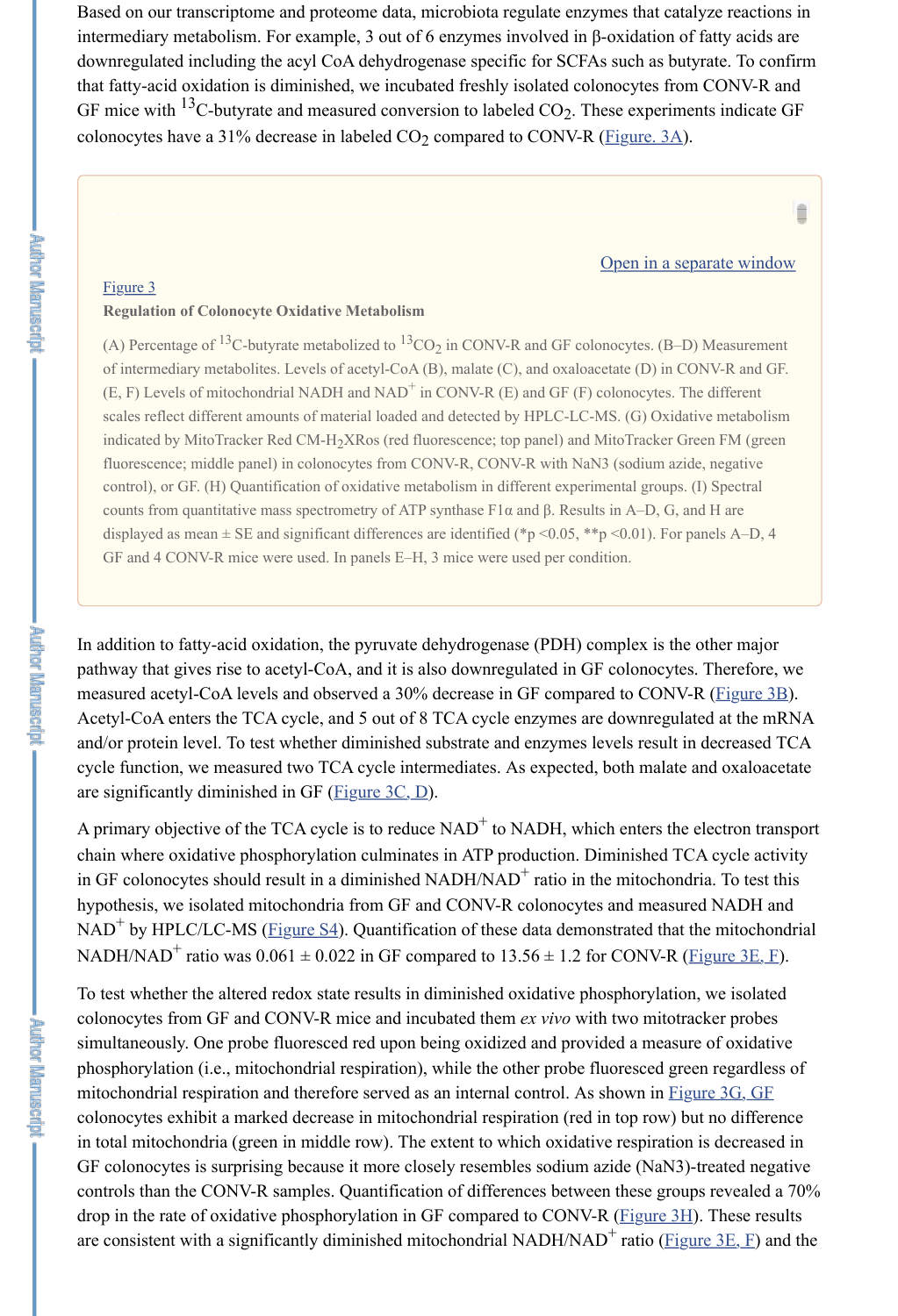#### Open in a separate window

Ê

#### Figure 3 **Regulation of Colonocyte Oxidative Metabolism**

colonocytes from GF and CONV-R mice and incubated them *ex vivo* with two mitotracker probes simultaneously. One probe fluoresced red upon being oxidized and provided a measure of oxidative phosphorylation (i.e., mitochondrial respiration), while the other probe fluoresced green regardless of mitochondrial respiration and therefore served as an internal control. As shown in Figure 3G, GF colonocytes exhibit a marked decrease in mitochondrial respiration (red in top row) but no difference in total mitochondria (green in middle row). The extent to which oxidative respiration is decreased in GF colonocytes is surprising because it more closely resembles sodium azide (NaN3)-treated negative controls than the CONV-R samples. Quantification of differences between these groups revealed a 70% drop in the rate of oxidative phosphorylation in GF compared to CONV-R (**Figure 3H**). These results are consistent with a significantly diminished mitochondrial NADH/NAD<sup>+</sup> ratio (**Figure 3E, F**) and the

In addition to fatty-acid oxidation, the pyruvate dehydrogenase (PDH) complex is the other major pathway that gives rise to acetyl-CoA, and it is also downregulated in GF colonocytes. Therefore, we measured acetyl-CoA levels and observed a 30% decrease in GF compared to CONV-R (**Figure 3B**). Acetyl-CoA enters the TCA cycle, and 5 out of 8 TCA cycle enzymes are downregulated at the mRNA and/or protein level. To test whether diminished substrate and enzymes levels result in decreased TCA cycle function, we measured two TCA cycle intermediates. As expected, both malate and oxaloacetate are significantly diminished in GF (Figure 3C, D).

A primary objective of the TCA cycle is to reduce  $NAD^+$  to NADH, which enters the electron transport chain where oxidative phosphorylation culminates in ATP production. Diminished TCA cycle activity in GF colonocytes should result in a diminished NADH/NAD<sup>+</sup> ratio in the mitochondria. To test this hypothesis, we isolated mitochondria from GF and CONV-R colonocytes and measured NADH and  $NAD<sup>+</sup>$  by HPLC/LC-MS (*Figure S4*). Quantification of these data demonstrated that the mitochondrial NADH/NAD<sup>+</sup> ratio was  $0.061 \pm 0.022$  in GF compared to  $13.56 \pm 1.2$  for CONV-R (**Figure 3E, F**).

Based on our transcriptome and proteome data, microbiota regulate enzymes that catalyze reactions in intermediary metabolism. For example, 3 out of 6 enzymes involved in β-oxidation of fatty acids are downregulated including the acyl CoA dehydrogenase specific for SCFAs such as butyrate. To confirm that fatty-acid oxidation is diminished, we incubated freshly isolated colonocytes from CONV-R and GF mice with <sup>13</sup>C-butyrate and measured conversion to labeled  $CO_2$ . These experiments indicate GF colonocytes have a 31% decrease in labeled  $CO<sub>2</sub>$  compared to CONV-R ( $Figure. 3A$ ).</u> 2

(A) Percentage of <sup>13</sup>C-butyrate metabolized to <sup>13</sup>CO<sub>2</sub> in CONV-R and GF colonocytes. (B–D) Measurement of intermediary metabolites. Levels of acetyl-CoA (B), malate (C), and oxaloacetate (D) in CONV-R and GF.  $(E, F)$  Levels of mitochondrial NADH and NAD<sup>+</sup> in CONV-R  $(E)$  and GF  $(F)$  colonocytes. The different scales reflect different amounts of material loaded and detected by HPLC-LC-MS. (G) Oxidative metabolism indicated by MitoTracker Red CM-H<sub>2</sub>XRos (red fluorescence; top panel) and MitoTracker Green FM (green fluorescence; middle panel) in colonocytes from CONV-R, CONV-R with NaN3 (sodium azide, negative control), or GF. (H) Quantification of oxidative metabolism in different experimental groups. (I) Spectral counts from quantitative mass spectrometry of ATP synthase  $F1α$  and  $β$ . Results in A–D, G, and H are displayed as mean  $\pm$  SE and significant differences are identified (\*p <0.05, \*\*p <0.01). For panels A–D, 4 GF and 4 CONV-R mice were used. In panels E–H, 3 mice were used per condition. 2

To test whether the altered redox state results in diminished oxidative phosphorylation, we isolated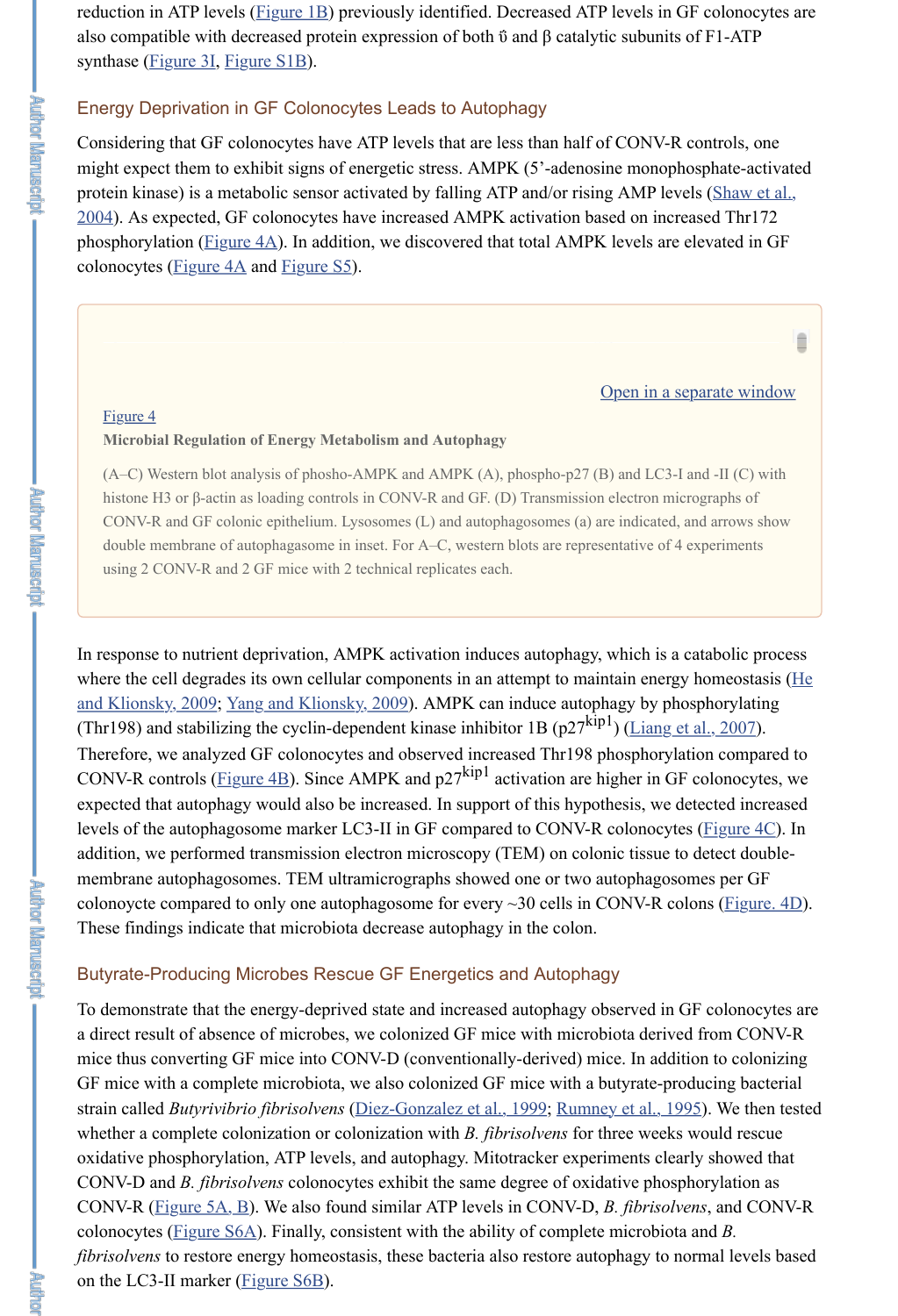reduction in ATP levels (Figure 1B) previously identified. Decreased ATP levels in GF colonocytes are also compatible with decreased protein expression of both ΰ and β catalytic subunits of F1-ATP synthase (*Figure 3I*, *Figure S1B*).

#### Energy Deprivation in GF Colonocytes Leads to Autophagy

Considering that GF colonocytes have ATP levels that are less than half of CONV-R controls, one might expect them to exhibit signs of energetic stress. AMPK (5'-adenosine monophosphate-activated protein kinase) is a metabolic sensor activated by falling ATP and/or rising AMP levels (Shaw et al., 2004). As expected, GF colonocytes have increased AMPK activation based on increased Thr172 phosphorylation (Figure 4A). In addition, we discovered that total AMPK levels are elevated in GF colonocytes (Figure 4A and Figure S5).

## Open in a separate window

### Figure 4 **Microbial Regulation of Energy Metabolism and Autophagy**

(A–C) Western blot analysis of phosho-AMPK and AMPK (A), phospho-p27 (B) and LC3-I and -II (C) with histone H3 or β-actin as loading controls in CONV-R and GF. (D) Transmission electron micrographs of CONV-R and GF colonic epithelium. Lysosomes (L) and autophagosomes (a) are indicated, and arrows show double membrane of autophagasome in inset. For A–C, western blots are representative of 4 experiments using 2 CONV-R and 2 GF mice with 2 technical replicates each.

In response to nutrient deprivation, AMPK activation induces autophagy, which is a catabolic process where the cell degrades its own cellular components in an attempt to maintain energy homeostasis (He and Klionsky, 2009; Yang and Klionsky, 2009). AMPK can induce autophagy by phosphorylating (Thr198) and stabilizing the cyclin-dependent kinase inhibitor 1B ( $p27<sup>kip1</sup>$ ) (Liang et al., 2007). Therefore, we analyzed GF colonocytes and observed increased Thr198 phosphorylation compared to CONV-R controls (*Figure 4B*). Since AMPK and  $p27<sup>kip1</sup>$  activation are higher in GF colonocytes, we expected that autophagy would also be increased. In support of this hypothesis, we detected increased levels of the autophagosome marker LC3-II in GF compared to CONV-R colonocytes (Figure 4C). In addition, we performed transmission electron microscopy (TEM) on colonic tissue to detect doublemembrane autophagosomes. TEM ultramicrographs showed one or two autophagosomes per GF colonoycte compared to only one autophagosome for every  $\sim$  30 cells in CONV-R colons (*Figure. 4D*). These findings indicate that microbiota decrease autophagy in the colon.

#### Butyrate-Producing Microbes Rescue GF Energetics and Autophagy

To demonstrate that the energy-deprived state and increased autophagy observed in GF colonocytes are a direct result of absence of microbes, we colonized GF mice with microbiota derived from CONV-R mice thus converting GF mice into CONV-D (conventionally-derived) mice. In addition to colonizing GF mice with a complete microbiota, we also colonized GF mice with a butyrate-producing bacterial strain called *Butyrivibrio fibrisolvens* (Diez-Gonzalez et al., 1999; Rumney et al., 1995). We then tested whether a complete colonization or colonization with *B. fibrisolvens* for three weeks would rescue oxidative phosphorylation, ATP levels, and autophagy. Mitotracker experiments clearly showed that CONV-D and *B. fibrisolvens* colonocytes exhibit the same degree of oxidative phosphorylation as CONV-R (Figure 5A, B). We also found similar ATP levels in CONV-D, *B. fibrisolvens*, and CONV-R colonocytes (Figure S6A). Finally, consistent with the ability of complete microbiota and *B. fibrisolvens* to restore energy homeostasis, these bacteria also restore autophagy to normal levels based on the LC3-II marker (Figure S6B).

**PUTPIC METURATION**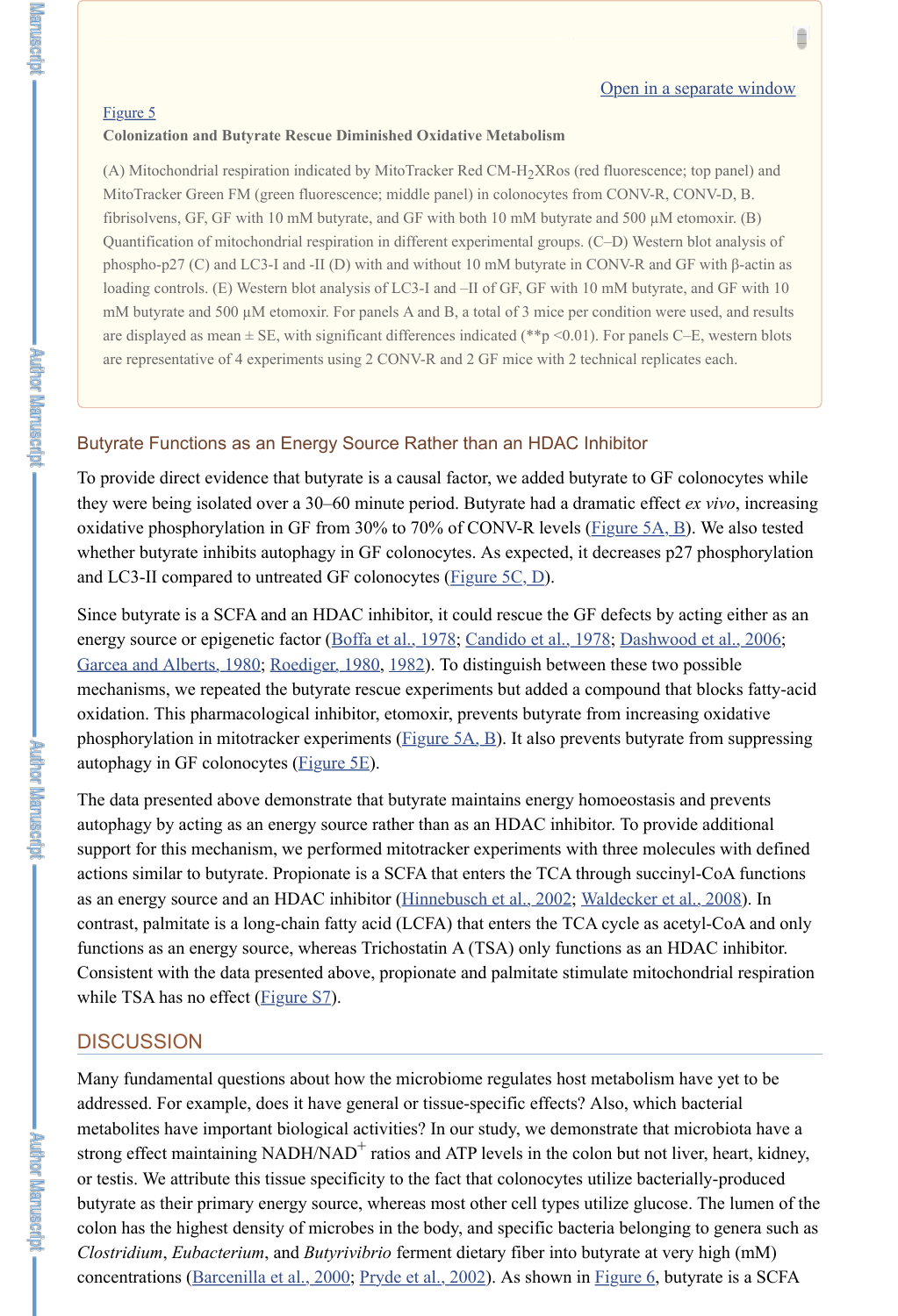Ê

#### Figure 5

#### **Colonization and Butyrate Rescue Diminished Oxidative Metabolism**

 $(A)$  Mitochondrial respiration indicated by MitoTracker Red CM-H<sub>2</sub>XRos (red fluorescence; top panel) and MitoTracker Green FM (green fluorescence; middle panel) in colonocytes from CONV-R, CONV-D, B. fibrisolvens, GF, GF with 10 mM butyrate, and GF with both 10 mM butyrate and 500 µM etomoxir. (B) Quantification of mitochondrial respiration in different experimental groups. (C–D) Western blot analysis of phospho-p27 (C) and LC3-I and -II (D) with and without 10 mM butyrate in CONV-R and GF with β-actin as loading controls. (E) Western blot analysis of LC3-I and –II of GF, GF with 10 mM butyrate, and GF with 10 mM butyrate and 500 µM etomoxir. For panels A and B, a total of 3 mice per condition were used, and results are displayed as mean  $\pm$  SE, with significant differences indicated (\*\*p <0.01). For panels C–E, western blots are representative of 4 experiments using 2 CONV-R and 2 GF mice with 2 technical replicates each.

## Butyrate Functions as an Energy Source Rather than an HDAC Inhibitor

The data presented above demonstrate that butyrate maintains energy homoeostasis and prevents autophagy by acting as an energy source rather than as an HDAC inhibitor. To provide additional support for this mechanism, we performed mitotracker experiments with three molecules with defined actions similar to butyrate. Propionate is a SCFA that enters the TCA through succinyl-CoA functions as an energy source and an HDAC inhibitor (Hinnebusch et al., 2002; Waldecker et al., 2008). In contrast, palmitate is a long-chain fatty acid (LCFA) that enters the TCA cycle as acetyl-CoA and only functions as an energy source, whereas Trichostatin A (TSA) only functions as an HDAC inhibitor. Consistent with the data presented above, propionate and palmitate stimulate mitochondrial respiration while TSA has no effect (Figure S7).

**Exploration** 

To provide direct evidence that butyrate is a causal factor, we added butyrate to GF colonocytes while they were being isolated over a 30–60 minute period. Butyrate had a dramatic effect *ex vivo*, increasing oxidative phosphorylation in GF from 30% to 70% of CONV-R levels ( $Figure 5A, B$ ). We also tested whether butyrate inhibits autophagy in GF colonocytes. As expected, it decreases p27 phosphorylation and LC3-II compared to untreated GF colonocytes (Figure 5C, D).

Since butyrate is a SCFA and an HDAC inhibitor, it could rescue the GF defects by acting either as an energy source or epigenetic factor (Boffa et al., 1978; Candido et al., 1978; Dashwood et al., 2006; Garcea and Alberts, 1980; Roediger, 1980, 1982). To distinguish between these two possible mechanisms, we repeated the butyrate rescue experiments but added a compound that blocks fatty-acid oxidation. This pharmacological inhibitor, etomoxir, prevents butyrate from increasing oxidative phosphorylation in mitotracker experiments (Figure 5A, B). It also prevents butyrate from suppressing autophagy in GF colonocytes (Figure 5E).

Many fundamental questions about how the microbiome regulates host metabolism have yet to be addressed. For example, does it have general or tissue-specific effects? Also, which bacterial metabolites have important biological activities? In our study, we demonstrate that microbiota have a strong effect maintaining NADH/NAD<sup>+</sup> ratios and ATP levels in the colon but not liver, heart, kidney, or testis. We attribute this tissue specificity to the fact that colonocytes utilize bacterially-produced butyrate as their primary energy source, whereas most other cell types utilize glucose. The lumen of the colon has the highest density of microbes in the body, and specific bacteria belonging to genera such as *Clostridium*, *Eubacterium*, and *Butyrivibrio* ferment dietary fiber into butyrate at very high (mM) concentrations (Barcenilla et al., 2000; Pryde et al., 2002). As shown in Figure 6, butyrate is a SCFA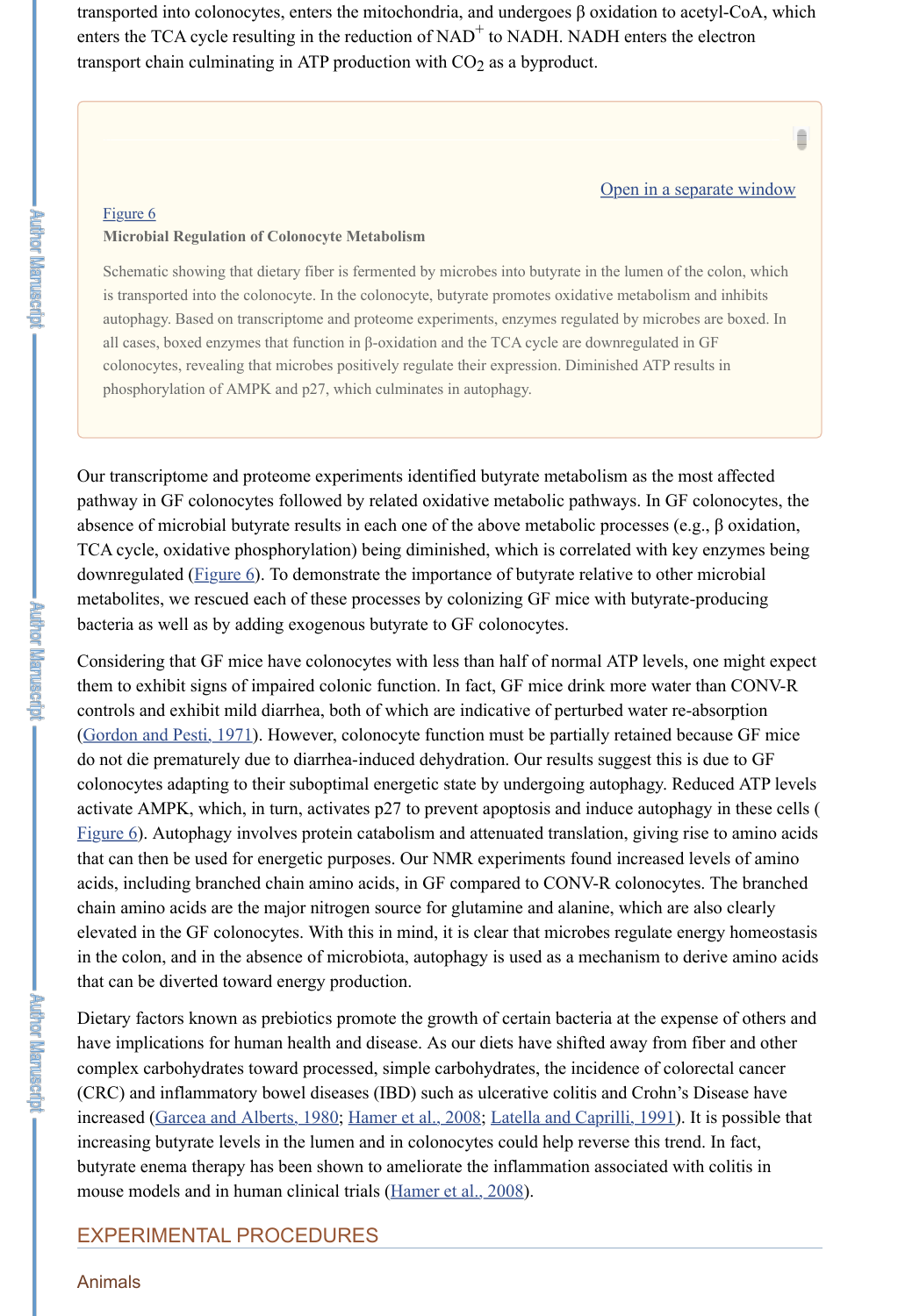transported into colonocytes, enters the mitochondria, and undergoes β oxidation to acetyl-CoA, which enters the TCA cycle resulting in the reduction of  $NAD<sup>+</sup>$  to NADH. NADH enters the electron transport chain culminating in ATP production with  $CO<sub>2</sub>$  as a byproduct.

#### Open in a separate window

Ô

#### Figure 6 **Microbial Regulation of Colonocyte Metabolism**

Schematic showing that dietary fiber is fermented by microbes into butyrate in the lumen of the colon, which is transported into the colonocyte. In the colonocyte, butyrate promotes oxidative metabolism and inhibits autophagy. Based on transcriptome and proteome experiments, enzymes regulated by microbes are boxed. In all cases, boxed enzymes that function in β-oxidation and the TCA cycle are downregulated in GF colonocytes, revealing that microbes positively regulate their expression. Diminished ATP results in phosphorylation of AMPK and p27, which culminates in autophagy.

Our transcriptome and proteome experiments identified butyrate metabolism as the most affected pathway in GF colonocytes followed by related oxidative metabolic pathways. In GF colonocytes, the absence of microbial butyrate results in each one of the above metabolic processes (e.g., β oxidation, TCA cycle, oxidative phosphorylation) being diminished, which is correlated with key enzymes being downregulated (Figure 6). To demonstrate the importance of butyrate relative to other microbial metabolites, we rescued each of these processes by colonizing GF mice with butyrate-producing bacteria as well as by adding exogenous butyrate to GF colonocytes.

Dietary factors known as prebiotics promote the growth of certain bacteria at the expense of others and have implications for human health and disease. As our diets have shifted away from fiber and other complex carbohydrates toward processed, simple carbohydrates, the incidence of colorectal cancer (CRC) and inflammatory bowel diseases (IBD) such as ulcerative colitis and Crohn's Disease have increased (Garcea and Alberts, 1980; Hamer et al., 2008; Latella and Caprilli, 1991). It is possible that increasing butyrate levels in the lumen and in colonocytes could help reverse this trend. In fact, butyrate enema therapy has been shown to ameliorate the inflammation associated with colitis in mouse models and in human clinical trials (Hamer et al., 2008).

Considering that GF mice have colonocytes with less than half of normal ATP levels, one might expect them to exhibit signs of impaired colonic function. In fact, GF mice drink more water than CONV-R controls and exhibit mild diarrhea, both of which are indicative of perturbed water re-absorption (Gordon and Pesti, 1971). However, colonocyte function must be partially retained because GF mice do not die prematurely due to diarrhea-induced dehydration. Our results suggest this is due to GF colonocytes adapting to their suboptimal energetic state by undergoing autophagy. Reduced ATP levels activate AMPK, which, in turn, activates p27 to prevent apoptosis and induce autophagy in these cells ( Figure 6). Autophagy involves protein catabolism and attenuated translation, giving rise to amino acids that can then be used for energetic purposes. Our NMR experiments found increased levels of amino acids, including branched chain amino acids, in GF compared to CONV-R colonocytes. The branched chain amino acids are the major nitrogen source for glutamine and alanine, which are also clearly elevated in the GF colonocytes. With this in mind, it is clear that microbes regulate energy homeostasis in the colon, and in the absence of microbiota, autophagy is used as a mechanism to derive amino acids that can be diverted toward energy production.

## EXPERIMENTAL PROCEDURES

#### Animals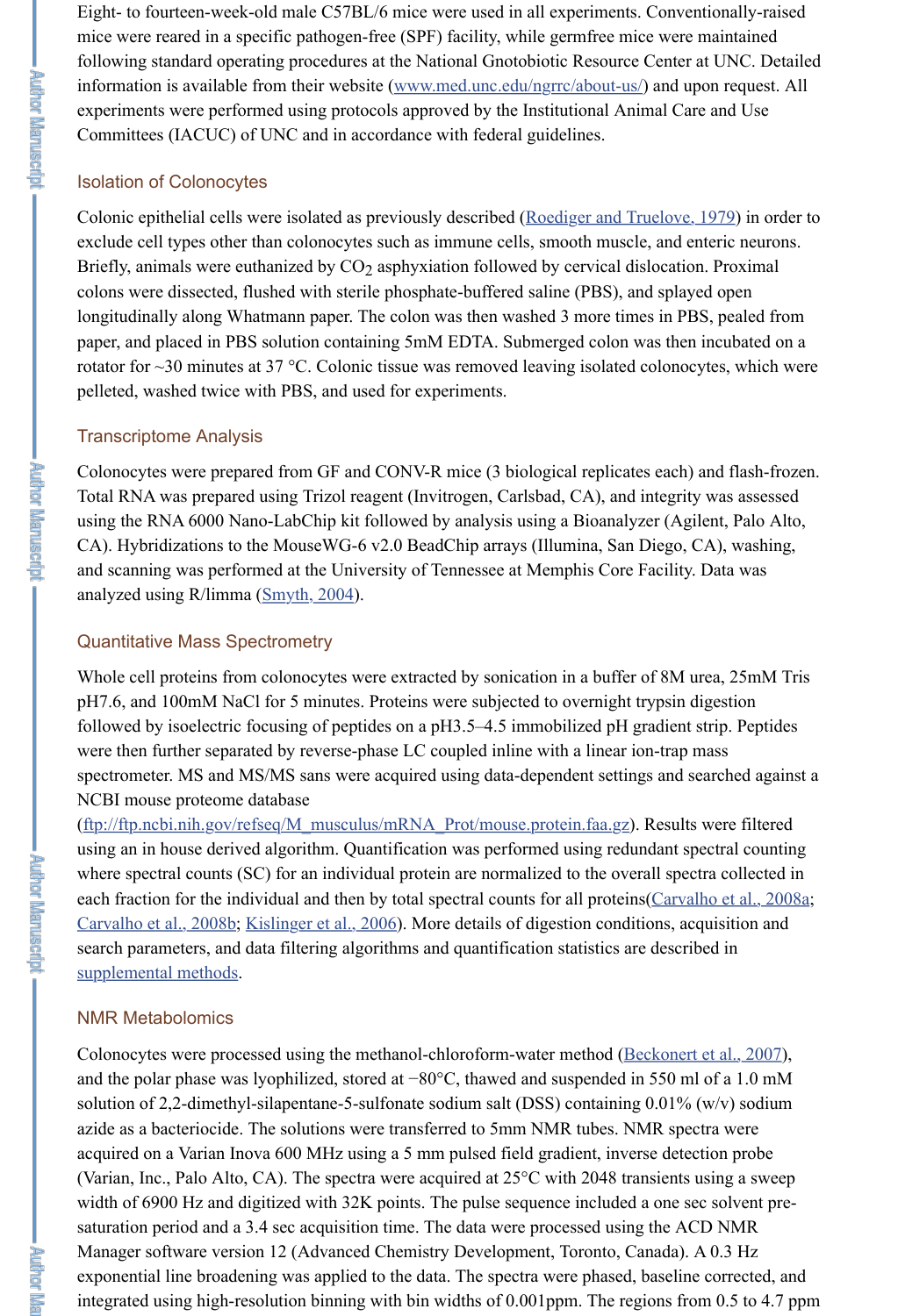Eight- to fourteen-week-old male C57BL/6 mice were used in all experiments. Conventionally-raised mice were reared in a specific pathogen-free (SPF) facility, while germfree mice were maintained following standard operating procedures at the National Gnotobiotic Resource Center at UNC. Detailed information is available from their website (www.med.unc.edu/ngrrc/about-us/) and upon request. All experiments were performed using protocols approved by the Institutional Animal Care and Use Committees (IACUC) of UNC and in accordance with federal guidelines.

## Isolation of Colonocytes

Colonic epithelial cells were isolated as previously described (Roediger and Truelove, 1979) in order to exclude cell types other than colonocytes such as immune cells, smooth muscle, and enteric neurons. Briefly, animals were euthanized by  $CO<sub>2</sub>$  asphyxiation followed by cervical dislocation. Proximal colons were dissected, flushed with sterile phosphate-buffered saline (PBS), and splayed open longitudinally along Whatmann paper. The colon was then washed 3 more times in PBS, pealed from paper, and placed in PBS solution containing 5mM EDTA. Submerged colon was then incubated on a rotator for ~30 minutes at 37 °C. Colonic tissue was removed leaving isolated colonocytes, which were pelleted, washed twice with PBS, and used for experiments.

(ftp://ftp.ncbi.nih.gov/refseq/M\_musculus/mRNA\_Prot/mouse.protein.faa.gz). Results were filtered using an in house derived algorithm. Quantification was performed using redundant spectral counting where spectral counts (SC) for an individual protein are normalized to the overall spectra collected in each fraction for the individual and then by total spectral counts for all proteins(Carvalho et al., 2008a; Carvalho et al., 2008b; Kislinger et al., 2006). More details of digestion conditions, acquisition and search parameters, and data filtering algorithms and quantification statistics are described in supplemental methods.

## Transcriptome Analysis

Colonocytes were prepared from GF and CONV-R mice (3 biological replicates each) and flash-frozen. Total RNA was prepared using Trizol reagent (Invitrogen, Carlsbad, CA), and integrity was assessed using the RNA 6000 Nano-LabChip kit followed by analysis using a Bioanalyzer (Agilent, Palo Alto, CA). Hybridizations to the MouseWG-6 v2.0 BeadChip arrays (Illumina, San Diego, CA), washing, and scanning was performed at the University of Tennessee at Memphis Core Facility. Data was analyzed using R/limma (Smyth, 2004).

## Quantitative Mass Spectrometry

Whole cell proteins from colonocytes were extracted by sonication in a buffer of 8M urea, 25mM Tris pH7.6, and 100mM NaCl for 5 minutes. Proteins were subjected to overnight trypsin digestion followed by isoelectric focusing of peptides on a pH3.5–4.5 immobilized pH gradient strip. Peptides were then further separated by reverse-phase LC coupled inline with a linear ion-trap mass spectrometer. MS and MS/MS sans were acquired using data-dependent settings and searched against a NCBI mouse proteome database

#### NMR Metabolomics

Colonocytes were processed using the methanol-chloroform-water method (Beckonert et al., 2007), and the polar phase was lyophilized, stored at −80°C, thawed and suspended in 550 ml of a 1.0 mM solution of 2,2-dimethyl-silapentane-5-sulfonate sodium salt (DSS) containing 0.01% (w/v) sodium azide as a bacteriocide. The solutions were transferred to 5mm NMR tubes. NMR spectra were acquired on a Varian Inova 600 MHz using a 5 mm pulsed field gradient, inverse detection probe (Varian, Inc., Palo Alto, CA). The spectra were acquired at 25°C with 2048 transients using a sweep width of 6900 Hz and digitized with 32K points. The pulse sequence included a one sec solvent presaturation period and a 3.4 sec acquisition time. The data were processed using the ACD NMR Manager software version 12 (Advanced Chemistry Development, Toronto, Canada). A 0.3 Hz exponential line broadening was applied to the data. The spectra were phased, baseline corrected, and integrated using high-resolution binning with bin widths of 0.001ppm. The regions from 0.5 to 4.7 ppm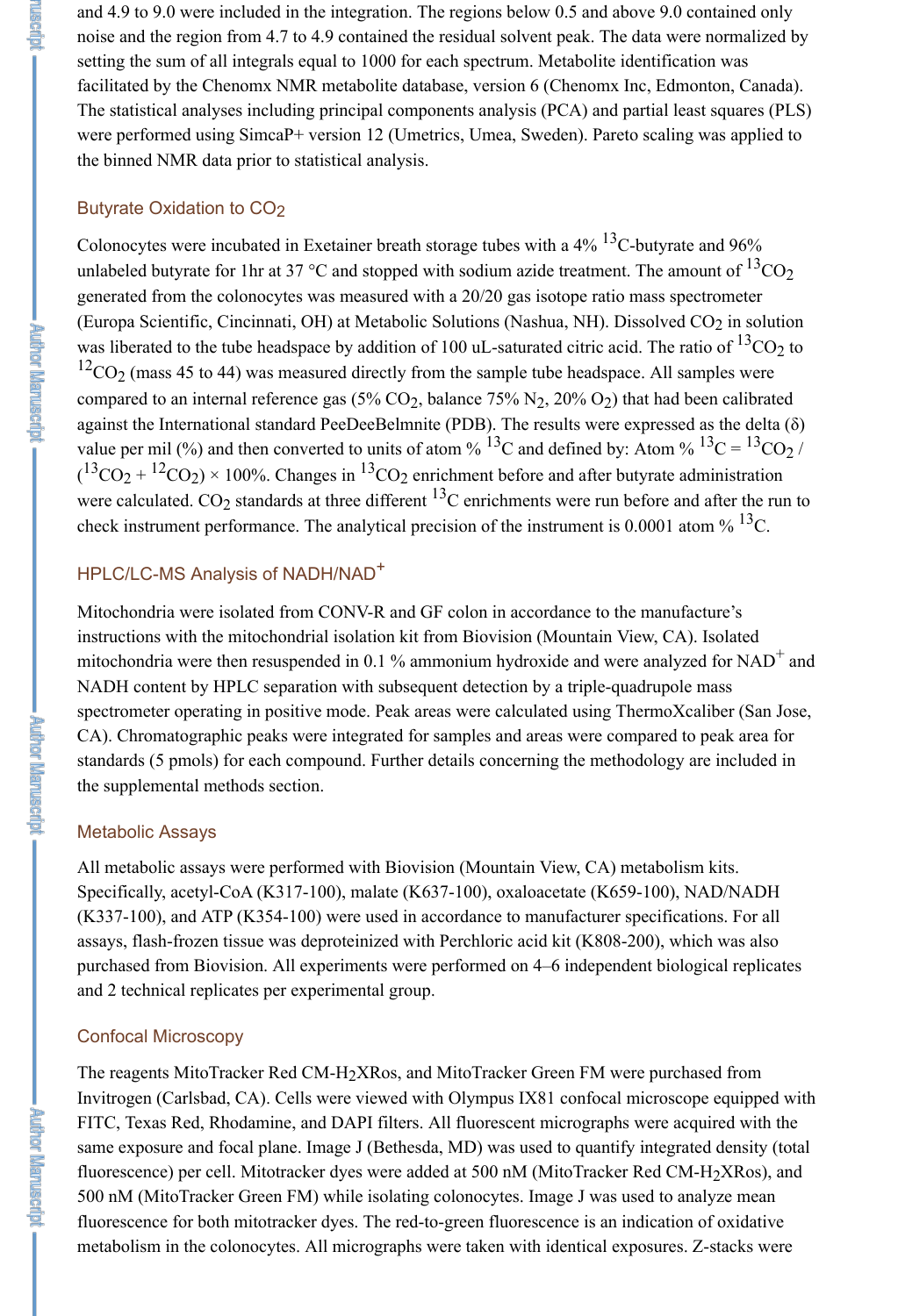and 4.9 to 9.0 were included in the integration. The regions below 0.5 and above 9.0 contained only noise and the region from 4.7 to 4.9 contained the residual solvent peak. The data were normalized by setting the sum of all integrals equal to 1000 for each spectrum. Metabolite identification was facilitated by the Chenomx NMR metabolite database, version 6 (Chenomx Inc, Edmonton, Canada). The statistical analyses including principal components analysis (PCA) and partial least squares (PLS) were performed using SimcaP+ version 12 (Umetrics, Umea, Sweden). Pareto scaling was applied to the binned NMR data prior to statistical analysis.

## Butyrate Oxidation to CO<sub>2</sub>

The reagents MitoTracker Red CM-H<sub>2</sub>XRos, and MitoTracker Green FM were purchased from Invitrogen (Carlsbad, CA). Cells were viewed with Olympus IX81 confocal microscope equipped with FITC, Texas Red, Rhodamine, and DAPI filters. All fluorescent micrographs were acquired with the same exposure and focal plane. Image J (Bethesda, MD) was used to quantify integrated density (total fluorescence) per cell. Mitotracker dyes were added at 500 nM (MitoTracker Red CM-H2XRos), and 500 nM (MitoTracker Green FM) while isolating colonocytes. Image J was used to analyze mean fluorescence for both mitotracker dyes. The red-to-green fluorescence is an indication of oxidative metabolism in the colonocytes. All micrographs were taken with identical exposures. Z-stacks were

Colonocytes were incubated in Exetainer breath storage tubes with a  $4\%$  <sup>13</sup>C-butyrate and 96% unlabeled butyrate for 1hr at 37 °C and stopped with sodium azide treatment. The amount of  $\rm ^{13}CO$ generated from the colonocytes was measured with a 20/20 gas isotope ratio mass spectrometer (Europa Scientific, Cincinnati, OH) at Metabolic Solutions (Nashua, NH). Dissolved  $CO_2$  in solution was liberated to the tube headspace by addition of 100 uL-saturated citric acid. The ratio of  $^{13}$ CO<sub>2</sub> to  ${}^{12}CO_2$  (mass 45 to 44) was measured directly from the sample tube headspace. All samples were compared to an internal reference gas  $(5\%$  CO<sub>2</sub>, balance  $75\%$  N<sub>2</sub>,  $20\%$  O<sub>2</sub>) that had been calibrated against the International standard PeeDeeBelmnite (PDB). The results were expressed as the delta  $(\delta)$ value per mil (%) and then converted to units of atom % <sup>13</sup>C and defined by: Atom % <sup>13</sup>C = <sup>13</sup>CO<sub>2</sub> /  $({}^{13}CO_2 + {}^{12}CO_2) \times 100\%$ . Changes in  ${}^{13}CO_2$  enrichment before and after butyrate administration were calculated.  $CO_2$  standards at three different  $^{13}C$  enrichments were run before and after the run to check instrument performance. The analytical precision of the instrument is 0.0001 atom  $\%$  <sup>13</sup>C. 2 2 2 2 2 12 2 13 2 13

## HPLC/LC-MS Analysis of NADH/NAD<sup>+</sup>

Mitochondria were isolated from CONV-R and GF colon in accordance to the manufacture's instructions with the mitochondrial isolation kit from Biovision (Mountain View, CA). Isolated mitochondria were then resuspended in 0.1 % ammonium hydroxide and were analyzed for NAD<sup>+</sup> and NADH content by HPLC separation with subsequent detection by a triple-quadrupole mass spectrometer operating in positive mode. Peak areas were calculated using ThermoXcaliber (San Jose, CA). Chromatographic peaks were integrated for samples and areas were compared to peak area for standards (5 pmols) for each compound. Further details concerning the methodology are included in the supplemental methods section.

#### Metabolic Assays

All metabolic assays were performed with Biovision (Mountain View, CA) metabolism kits. Specifically, acetyl-CoA (K317-100), malate (K637-100), oxaloacetate (K659-100), NAD/NADH (K337-100), and ATP (K354-100) were used in accordance to manufacturer specifications. For all assays, flash-frozen tissue was deproteinized with Perchloric acid kit (K808-200), which was also purchased from Biovision. All experiments were performed on 4–6 independent biological replicates and 2 technical replicates per experimental group.

**HERE HE** 

### Confocal Microscopy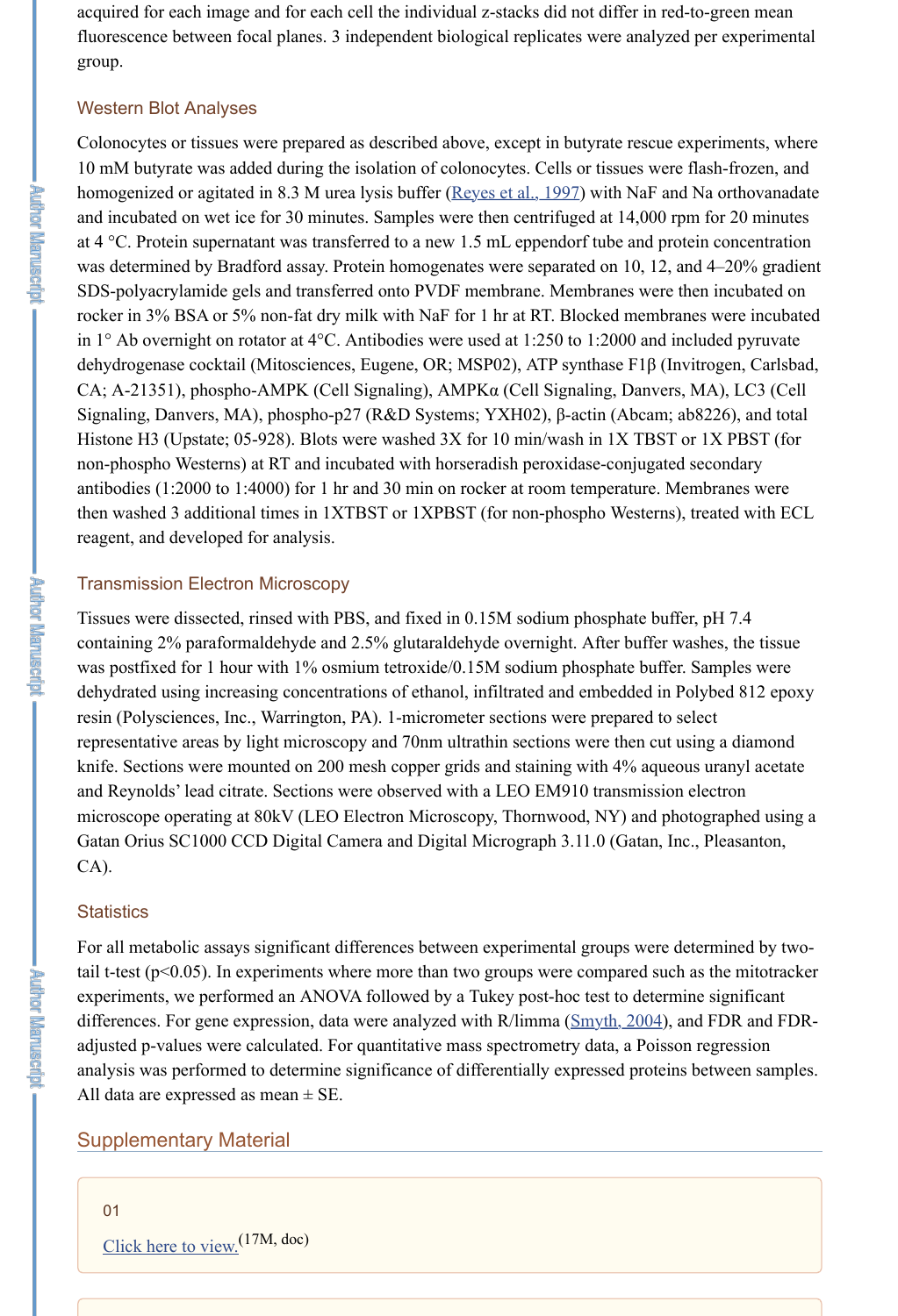acquired for each image and for each cell the individual z-stacks did not differ in red-to-green mean fluorescence between focal planes. 3 independent biological replicates were analyzed per experimental group.

#### Western Blot Analyses

Colonocytes or tissues were prepared as described above, except in butyrate rescue experiments, where 10 mM butyrate was added during the isolation of colonocytes. Cells or tissues were flash-frozen, and homogenized or agitated in 8.3 M urea lysis buffer (Reyes et al., 1997) with NaF and Na orthovanadate and incubated on wet ice for 30 minutes. Samples were then centrifuged at 14,000 rpm for 20 minutes at 4 °C. Protein supernatant was transferred to a new 1.5 mL eppendorf tube and protein concentration was determined by Bradford assay. Protein homogenates were separated on 10, 12, and 4–20% gradient SDS-polyacrylamide gels and transferred onto PVDF membrane. Membranes were then incubated on rocker in 3% BSA or 5% non-fat dry milk with NaF for 1 hr at RT. Blocked membranes were incubated in 1° Ab overnight on rotator at 4°C. Antibodies were used at 1:250 to 1:2000 and included pyruvate dehydrogenase cocktail (Mitosciences, Eugene, OR; MSP02), ATP synthase F1β (Invitrogen, Carlsbad, CA; A-21351), phospho-AMPK (Cell Signaling), AMPKα (Cell Signaling, Danvers, MA), LC3 (Cell Signaling, Danvers, MA), phospho-p27 (R&D Systems; YXH02), β-actin (Abcam; ab8226), and total Histone H3 (Upstate; 05-928). Blots were washed 3X for 10 min/wash in 1X TBST or 1X PBST (for non-phospho Westerns) at RT and incubated with horseradish peroxidase-conjugated secondary antibodies (1:2000 to 1:4000) for 1 hr and 30 min on rocker at room temperature. Membranes were then washed 3 additional times in 1XTBST or 1XPBST (for non-phospho Westerns), treated with ECL reagent, and developed for analysis.

For all metabolic assays significant differences between experimental groups were determined by twotail t-test (p<0.05). In experiments where more than two groups were compared such as the mitotracker experiments, we performed an ANOVA followed by a Tukey post-hoc test to determine significant differences. For gene expression, data were analyzed with R/limma (Smyth, 2004), and FDR and FDRadjusted p-values were calculated. For quantitative mass spectrometry data, a Poisson regression analysis was performed to determine significance of differentially expressed proteins between samples. All data are expressed as mean  $\pm$  SE.

#### Transmission Electron Microscopy

Tissues were dissected, rinsed with PBS, and fixed in 0.15M sodium phosphate buffer, pH 7.4 containing 2% paraformaldehyde and 2.5% glutaraldehyde overnight. After buffer washes, the tissue was postfixed for 1 hour with 1% osmium tetroxide/0.15M sodium phosphate buffer. Samples were dehydrated using increasing concentrations of ethanol, infiltrated and embedded in Polybed 812 epoxy resin (Polysciences, Inc., Warrington, PA). 1-micrometer sections were prepared to select representative areas by light microscopy and 70nm ultrathin sections were then cut using a diamond knife. Sections were mounted on 200 mesh copper grids and staining with 4% aqueous uranyl acetate and Reynolds' lead citrate. Sections were observed with a LEO EM910 transmission electron microscope operating at 80kV (LEO Electron Microscopy, Thornwood, NY) and photographed using a Gatan Orius SC1000 CCD Digital Camera and Digital Micrograph 3.11.0 (Gatan, Inc., Pleasanton, CA).

#### **Statistics**

## Supplementary Material

01

Click here to view.<sup>(17M, doc)</sup>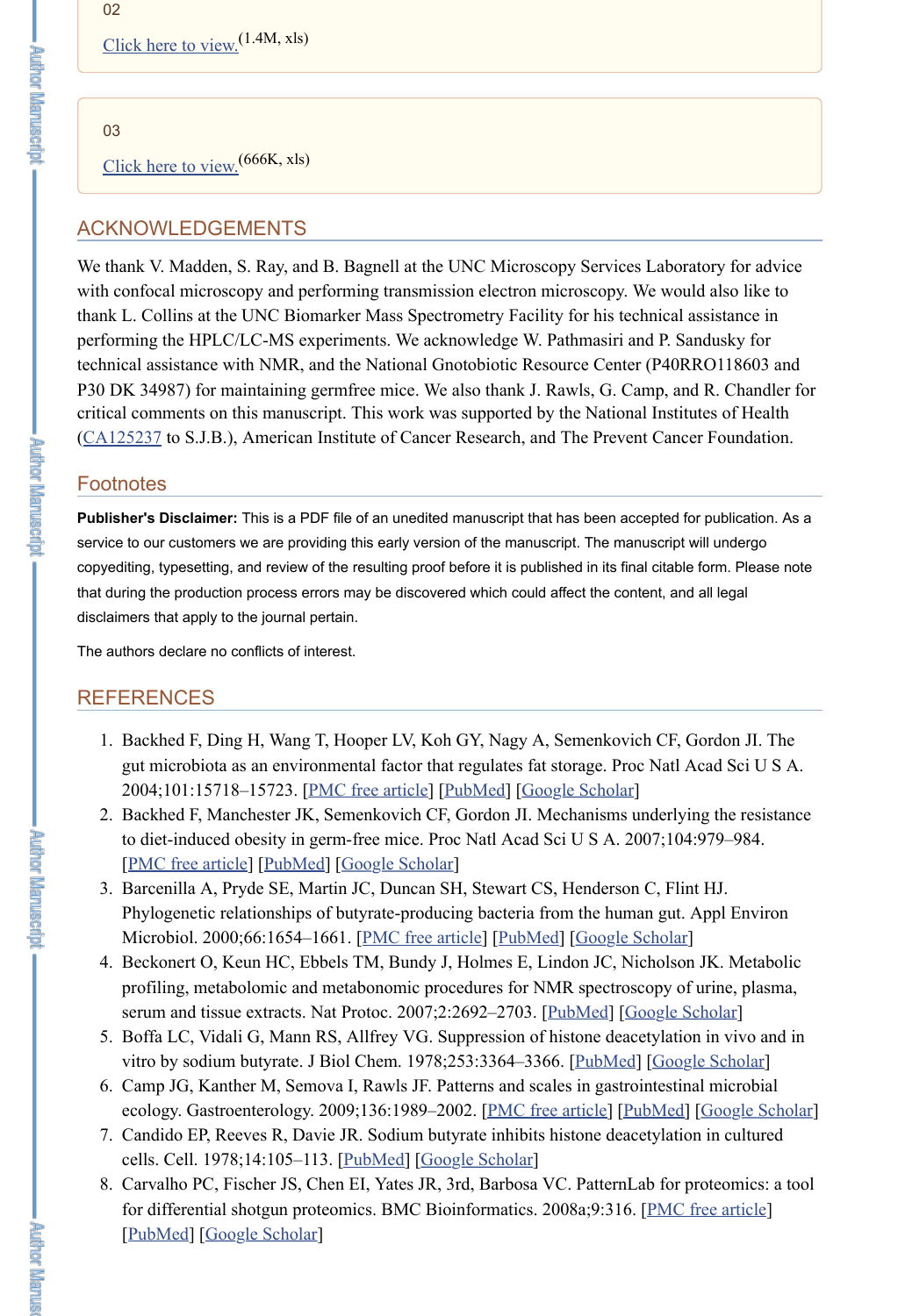**Autor Maruscript** 

02

Click here to view.<sup>(666K, xls)</sup>

03

## ACKNOWLEDGEMENTS

We thank V. Madden, S. Ray, and B. Bagnell at the UNC Microscopy Services Laboratory for advice with confocal microscopy and performing transmission electron microscopy. We would also like to thank L. Collins at the UNC Biomarker Mass Spectrometry Facility for his technical assistance in performing the HPLC/LC-MS experiments. We acknowledge W. Pathmasiri and P. Sandusky for technical assistance with NMR, and the National Gnotobiotic Resource Center (P40RRO118603 and P30 DK 34987) for maintaining germfree mice. We also thank J. Rawls, G. Camp, and R. Chandler for critical comments on this manuscript. This work was supported by the National Institutes of Health (CA125237 to S.J.B.), American Institute of Cancer Research, and The Prevent Cancer Foundation.

## **Footnotes**

- 1. Backhed F, Ding H, Wang T, Hooper LV, Koh GY, Nagy A, Semenkovich CF, Gordon JI. The gut microbiota as an environmental factor that regulates fat storage. Proc Natl Acad Sci U S A. 2004;101:15718–15723. [PMC free article] [PubMed] [Google Scholar]
- 2. Backhed F, Manchester JK, Semenkovich CF, Gordon JI. Mechanisms underlying the resistance to diet-induced obesity in germ-free mice. Proc Natl Acad Sci U S A. 2007;104:979–984. [PMC free article] [PubMed] [Google Scholar]
- 3. Barcenilla A, Pryde SE, Martin JC, Duncan SH, Stewart CS, Henderson C, Flint HJ. Phylogenetic relationships of butyrate-producing bacteria from the human gut. Appl Environ Microbiol. 2000;66:1654–1661. [PMC free article] [PubMed] [Google Scholar]
- 4. Beckonert O, Keun HC, Ebbels TM, Bundy J, Holmes E, Lindon JC, Nicholson JK. Metabolic profiling, metabolomic and metabonomic procedures for NMR spectroscopy of urine, plasma, serum and tissue extracts. Nat Protoc. 2007;2:2692-2703. [PubMed] [Google Scholar]

**Publisher's Disclaimer:** This is a PDF file of an unedited manuscript that has been accepted for publication. As a service to our customers we are providing this early version of the manuscript. The manuscript will undergo copyediting, typesetting, and review of the resulting proof before it is published in its final citable form. Please note that during the production process errors may be discovered which could affect the content, and all legal disclaimers that apply to the journal pertain.

The authors declare no conflicts of interest.

## REFERENCES

- 5. Boffa LC, Vidali G, Mann RS, Allfrey VG. Suppression of histone deacetylation in vivo and in vitro by sodium butyrate. J Biol Chem. 1978;253:3364–3366. [PubMed] [Google Scholar]
- 6. Camp JG, Kanther M, Semova I, Rawls JF. Patterns and scales in gastrointestinal microbial ecology. Gastroenterology. 2009;136:1989-2002. [PMC free article] [PubMed] [Google Scholar]
- 7. Candido EP, Reeves R, Davie JR. Sodium butyrate inhibits histone deacetylation in cultured cells. Cell. 1978;14:105-113. [PubMed] [Google Scholar]
- 8. Carvalho PC, Fischer JS, Chen EI, Yates JR, 3rd, Barbosa VC. PatternLab for proteomics: a tool for differential shotgun proteomics. BMC Bioinformatics. 2008a;9:316. [PMC free article] [PubMed] [Google Scholar]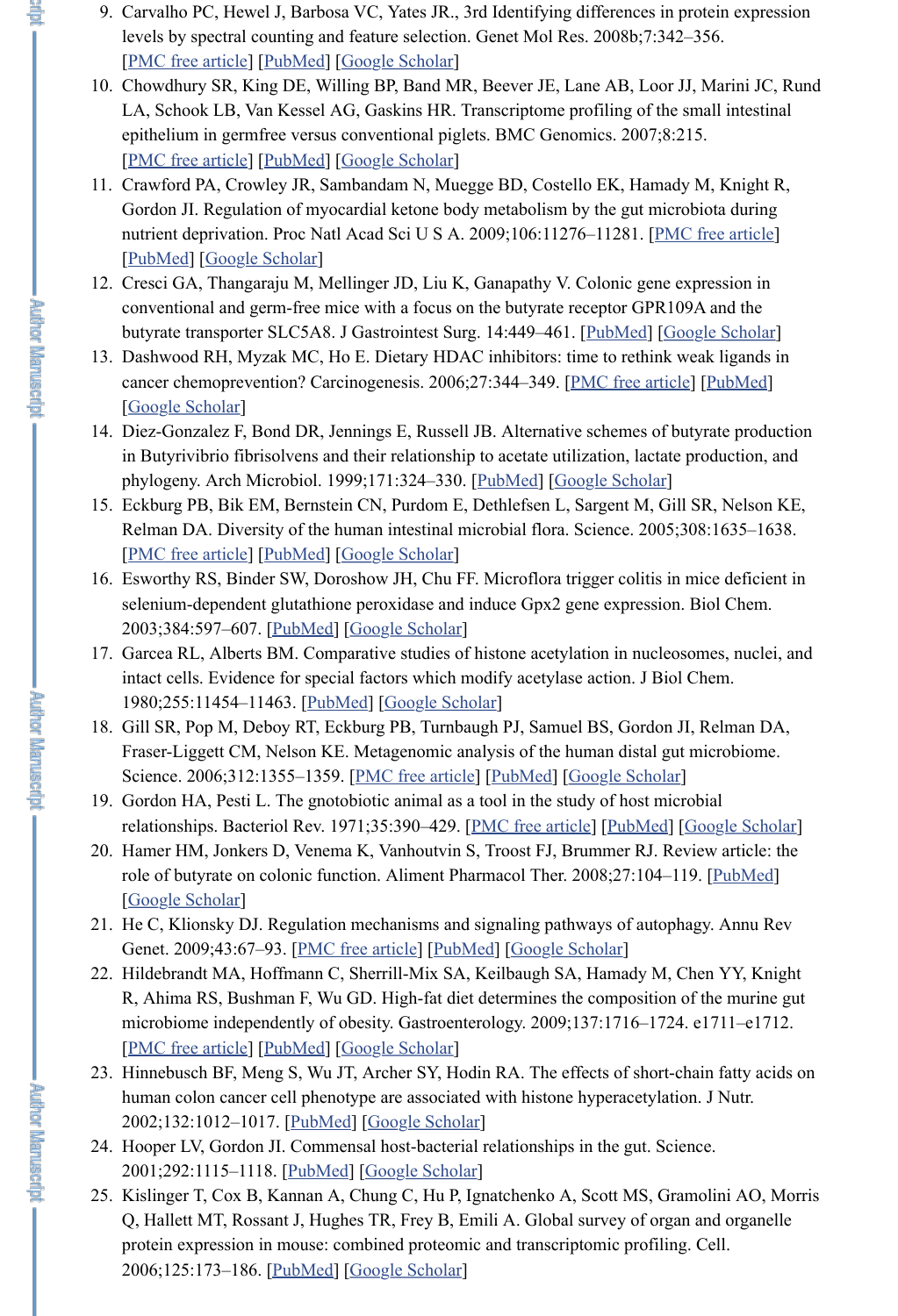- 9. Carvalho PC, Hewel J, Barbosa VC, Yates JR., 3rd Identifying differences in protein expression levels by spectral counting and feature selection. Genet Mol Res. 2008b;7:342–356. [PMC free article] [PubMed] [Google Scholar]
- 10. Chowdhury SR, King DE, Willing BP, Band MR, Beever JE, Lane AB, Loor JJ, Marini JC, Rund LA, Schook LB, Van Kessel AG, Gaskins HR. Transcriptome profiling of the small intestinal epithelium in germfree versus conventional piglets. BMC Genomics. 2007;8:215. [PMC free article] [PubMed] [Google Scholar]
- 11. Crawford PA, Crowley JR, Sambandam N, Muegge BD, Costello EK, Hamady M, Knight R, Gordon JI. Regulation of myocardial ketone body metabolism by the gut microbiota during nutrient deprivation. Proc Natl Acad Sci U S A. 2009;106:11276–11281. [PMC free article] [PubMed] [Google Scholar]
- 12. Cresci GA, Thangaraju M, Mellinger JD, Liu K, Ganapathy V. Colonic gene expression in conventional and germ-free mice with a focus on the butyrate receptor GPR109A and the butyrate transporter SLC5A8. J Gastrointest Surg. 14:449-461. [PubMed] [Google Scholar]
- 13. Dashwood RH, Myzak MC, Ho E. Dietary HDAC inhibitors: time to rethink weak ligands in cancer chemoprevention? Carcinogenesis. 2006;27:344–349. [PMC free article] [PubMed] [Google Scholar]
- 14. Diez-Gonzalez F, Bond DR, Jennings E, Russell JB. Alternative schemes of butyrate production in Butyrivibrio fibrisolvens and their relationship to acetate utilization, lactate production, and phylogeny. Arch Microbiol. 1999;171:324-330. [PubMed] [Google Scholar]
- 15. Eckburg PB, Bik EM, Bernstein CN, Purdom E, Dethlefsen L, Sargent M, Gill SR, Nelson KE, Relman DA. Diversity of the human intestinal microbial flora. Science. 2005;308:1635–1638. [PMC free article] [PubMed] [Google Scholar]
- 16. Esworthy RS, Binder SW, Doroshow JH, Chu FF. Microflora trigger colitis in mice deficient in selenium-dependent glutathione peroxidase and induce Gpx2 gene expression. Biol Chem. 2003;384:597–607. [PubMed] [Google Scholar]
- 17. Garcea RL, Alberts BM. Comparative studies of histone acetylation in nucleosomes, nuclei, and intact cells. Evidence for special factors which modify acetylase action. J Biol Chem. 1980;255:11454–11463. [PubMed] [Google Scholar]
- 18. Gill SR, Pop M, Deboy RT, Eckburg PB, Turnbaugh PJ, Samuel BS, Gordon JI, Relman DA, Fraser-Liggett CM, Nelson KE. Metagenomic analysis of the human distal gut microbiome. Science. 2006;312:1355–1359. [PMC free article] [PubMed] [Google Scholar]
- 19. Gordon HA, Pesti L. The gnotobiotic animal as a tool in the study of host microbial relationships. Bacteriol Rev. 1971;35:390-429. [PMC free article] [PubMed] [Google Scholar]
- 20. Hamer HM, Jonkers D, Venema K, Vanhoutvin S, Troost FJ, Brummer RJ. Review article: the role of butyrate on colonic function. Aliment Pharmacol Ther. 2008;27:104-119. [PubMed] [Google Scholar]
- 21. He C, Klionsky DJ. Regulation mechanisms and signaling pathways of autophagy. Annu Rev Genet. 2009;43:67–93. [PMC free article] [PubMed] [Google Scholar]
- 22. Hildebrandt MA, Hoffmann C, Sherrill-Mix SA, Keilbaugh SA, Hamady M, Chen YY, Knight R, Ahima RS, Bushman F, Wu GD. High-fat diet determines the composition of the murine gut

ë<br>F

microbiome independently of obesity. Gastroenterology. 2009;137:1716–1724. e1711–e1712. [PMC free article] [PubMed] [Google Scholar]

- 23. Hinnebusch BF, Meng S, Wu JT, Archer SY, Hodin RA. The effects of short-chain fatty acids on human colon cancer cell phenotype are associated with histone hyperacetylation. J Nutr. 2002;132:1012–1017. [PubMed] [Google Scholar]
- 24. Hooper LV, Gordon JI. Commensal host-bacterial relationships in the gut. Science. 2001;292:1115–1118. [PubMed] [Google Scholar]
- 25. Kislinger T, Cox B, Kannan A, Chung C, Hu P, Ignatchenko A, Scott MS, Gramolini AO, Morris Q, Hallett MT, Rossant J, Hughes TR, Frey B, Emili A. Global survey of organ and organelle protein expression in mouse: combined proteomic and transcriptomic profiling. Cell. 2006;125:173–186. [PubMed] [Google Scholar]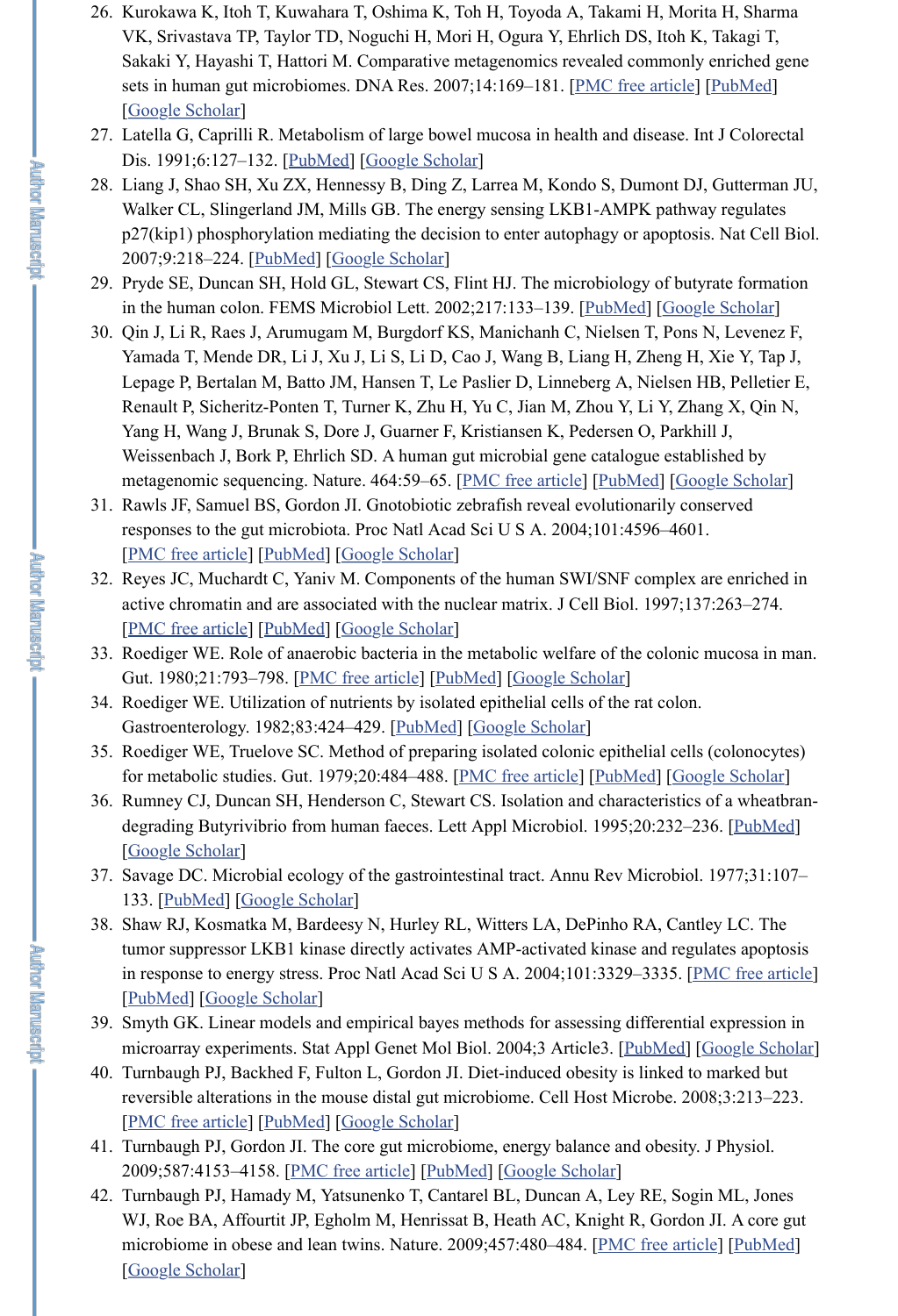- 26. Kurokawa K, Itoh T, Kuwahara T, Oshima K, Toh H, Toyoda A, Takami H, Morita H, Sharma VK, Srivastava TP, Taylor TD, Noguchi H, Mori H, Ogura Y, Ehrlich DS, Itoh K, Takagi T, Sakaki Y, Hayashi T, Hattori M. Comparative metagenomics revealed commonly enriched gene sets in human gut microbiomes. DNA Res. 2007;14:169–181. [PMC free article] [PubMed] [Google Scholar]
- 27. Latella G, Caprilli R. Metabolism of large bowel mucosa in health and disease. Int J Colorectal Dis. 1991;6:127–132. [PubMed] [Google Scholar]
- 28. Liang J, Shao SH, Xu ZX, Hennessy B, Ding Z, Larrea M, Kondo S, Dumont DJ, Gutterman JU, Walker CL, Slingerland JM, Mills GB. The energy sensing LKB1-AMPK pathway regulates p27(kip1) phosphorylation mediating the decision to enter autophagy or apoptosis. Nat Cell Biol. 2007;9:218–224. [PubMed] [Google Scholar]
- 29. Pryde SE, Duncan SH, Hold GL, Stewart CS, Flint HJ. The microbiology of butyrate formation in the human colon. FEMS Microbiol Lett. 2002;217:133–139. [PubMed] [Google Scholar]
- 30. Qin J, Li R, Raes J, Arumugam M, Burgdorf KS, Manichanh C, Nielsen T, Pons N, Levenez F, Yamada T, Mende DR, Li J, Xu J, Li S, Li D, Cao J, Wang B, Liang H, Zheng H, Xie Y, Tap J, Lepage P, Bertalan M, Batto JM, Hansen T, Le Paslier D, Linneberg A, Nielsen HB, Pelletier E, Renault P, Sicheritz-Ponten T, Turner K, Zhu H, Yu C, Jian M, Zhou Y, Li Y, Zhang X, Qin N, Yang H, Wang J, Brunak S, Dore J, Guarner F, Kristiansen K, Pedersen O, Parkhill J, Weissenbach J, Bork P, Ehrlich SD. A human gut microbial gene catalogue established by metagenomic sequencing. Nature. 464:59–65. [PMC free article] [PubMed] [Google Scholar]
- 31. Rawls JF, Samuel BS, Gordon JI. Gnotobiotic zebrafish reveal evolutionarily conserved responses to the gut microbiota. Proc Natl Acad Sci U S A. 2004;101:4596–4601. [PMC free article] [PubMed] [Google Scholar]
- 32. Reyes JC, Muchardt C, Yaniv M. Components of the human SWI/SNF complex are enriched in active chromatin and are associated with the nuclear matrix. J Cell Biol. 1997;137:263–274. [PMC free article] [PubMed] [Google Scholar]
- 33. Roediger WE. Role of anaerobic bacteria in the metabolic welfare of the colonic mucosa in man. Gut. 1980;21:793–798. [PMC free article] [PubMed] [Google Scholar]
- 34. Roediger WE. Utilization of nutrients by isolated epithelial cells of the rat colon. Gastroenterology. 1982;83:424–429. [PubMed] [Google Scholar]
- 35. Roediger WE, Truelove SC. Method of preparing isolated colonic epithelial cells (colonocytes) for metabolic studies. Gut. 1979;20:484–488. [PMC free article] [PubMed] [Google Scholar]
- 36. Rumney CJ, Duncan SH, Henderson C, Stewart CS. Isolation and characteristics of a wheatbrandegrading Butyrivibrio from human faeces. Lett Appl Microbiol. 1995;20:232-236. [PubMed] [Google Scholar]
- 37. Savage DC. Microbial ecology of the gastrointestinal tract. Annu Rev Microbiol. 1977;31:107– 133. [PubMed] [Google Scholar]
- 38. Shaw RJ, Kosmatka M, Bardeesy N, Hurley RL, Witters LA, DePinho RA, Cantley LC. The tumor suppressor LKB1 kinase directly activates AMP-activated kinase and regulates apoptosis in response to energy stress. Proc Natl Acad Sci U S A. 2004;101:3329–3335. [PMC free article] [PubMed] [Google Scholar]

- 39. Smyth GK. Linear models and empirical bayes methods for assessing differential expression in microarray experiments. Stat Appl Genet Mol Biol. 2004;3 Article3. [PubMed] [Google Scholar] 40. Turnbaugh PJ, Backhed F, Fulton L, Gordon JI. Diet-induced obesity is linked to marked but reversible alterations in the mouse distal gut microbiome. Cell Host Microbe. 2008;3:213–223. [PMC free article] [PubMed] [Google Scholar]
- 41. Turnbaugh PJ, Gordon JI. The core gut microbiome, energy balance and obesity. J Physiol. 2009;587:4153–4158. [PMC free article] [PubMed] [Google Scholar]
- 42. Turnbaugh PJ, Hamady M, Yatsunenko T, Cantarel BL, Duncan A, Ley RE, Sogin ML, Jones WJ, Roe BA, Affourtit JP, Egholm M, Henrissat B, Heath AC, Knight R, Gordon JI. A core gut microbiome in obese and lean twins. Nature. 2009;457:480-484. [PMC free article] [PubMed] [Google Scholar]